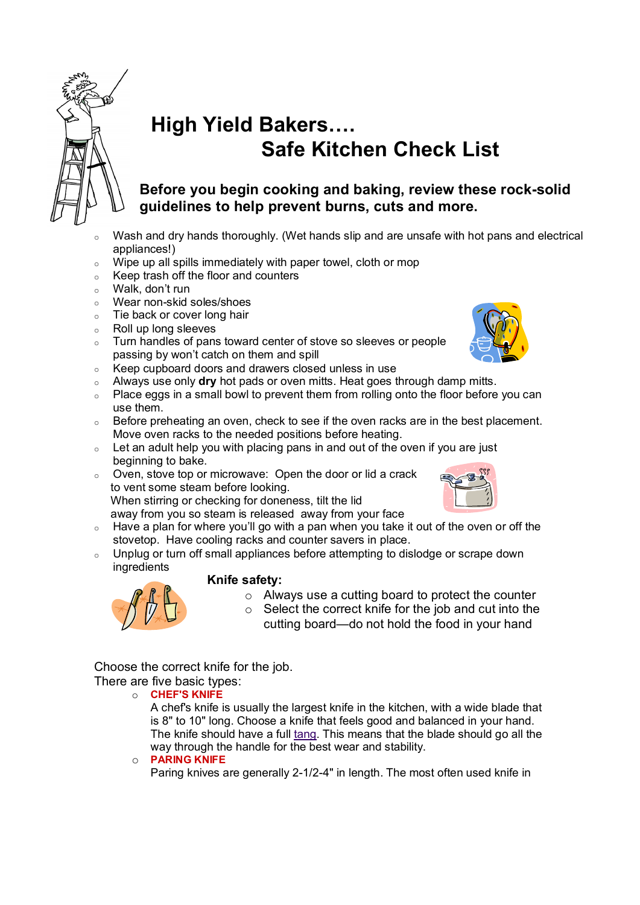

## **High Yield Bakers…. Safe Kitchen Check List**

**Before you begin cooking and baking, review these rock-solid guidelines to help prevent burns, cuts and more.**

- **o Wash and dry hands thoroughly. (Wet hands slip and are unsafe with hot pans and electrical appliances!)**
- **o Wipe up all spills immediately with paper towel, cloth or mop**
- **o Keep trash off the floor and counters**
- **o Walk, don't run**
- **o Wear non-skid soles/shoes**
- **o Tie back or cover long hair**
- **o Roll up long sleeves**
- **o Turn handles of pans toward center of stove so sleeves or people passing by won't catch on them and spill**
- **o Keep cupboard doors and drawers closed unless in use**
- **o Always use only dry hot pads or oven mitts. Heat goes through damp mitts.**
- **o Place eggs in a small bowl to prevent them from rolling onto the floor before you can use them.**
- **o Before preheating an oven, check to see if the oven racks are in the best placement. Move oven racks to the needed positions before heating.**
- **o Let an adult help you with placing pans in and out of the oven if you are just beginning to bake.**
- **o Oven, stove top or microwave: Open the door or lid a crack to vent some steam before looking. When stirring or checking for doneness, tilt the lid**

**away from you so steam is released away from your face**

- $\circ$  Have a plan for where you'll go with a pan when you take it out of the oven or off the **stovetop. Have cooling racks and counter savers in place.**
- **o Unplug or turn off small appliances before attempting to dislodge or scrape down ingredients Knife safety:**



- **o Always use a cutting board to protect the counter**
- **o Select the correct knife for the job and cut into the cutting board—do not hold the food in your hand**

**Choose the correct knife for the job. There are five basic types:**

**o CHEF'S KNIFE**

**A chef's knife is usually the largest knife in the kitchen, with a wide blade that is 8" to 10" long. Choose a knife that feels good and balanced in your hand. The knife should have a full tang. This means that the blade should go all the way through the handle for the best wear and stability.**

**o PARING KNIFE**

**Paring knives are generally 2-1/2-4" in length. The most often used knife in**